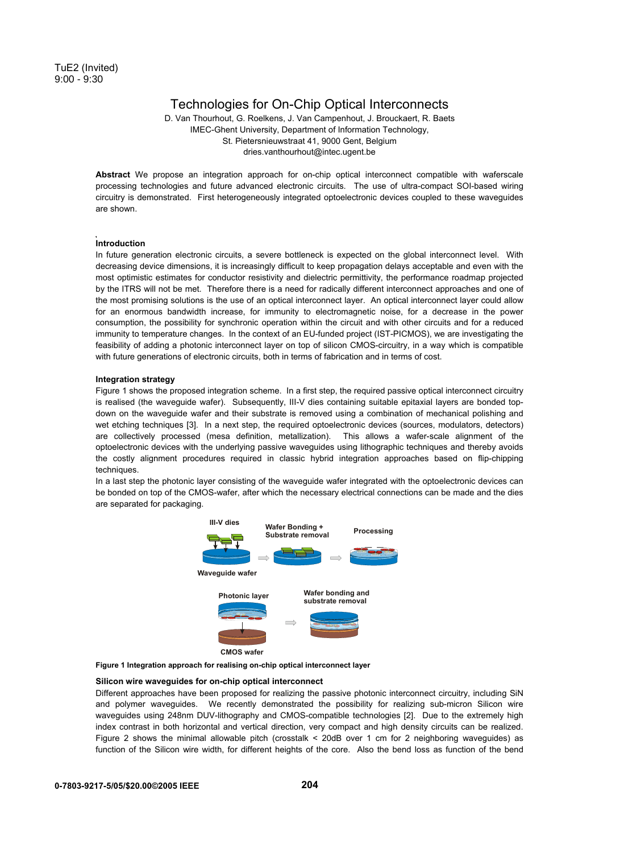# Technologies for On-Chip Optical Interconnects

D. Van Thourhout, G. Roelkens, J. Van Campenhout, J. Brouckaert, R. Baets IMEC-Ghent University, Department of Information Technology, St. Pietersnieuwstraat 41, 9000 Gent, Belgium dries.vanthourhout@intec.ugent.be

**Abstract** We propose an integration approach for on-chip optical interconnect compatible with waferscale processing technologies and future advanced electronic circuits. The use of ultra-compact SOI-based wiring circuitry is demonstrated. First heterogeneously integrated optoelectronic devices coupled to these waveguides are shown.

## **Introduction**

In future generation electronic circuits, a severe bottleneck is expected on the global interconnect level. With decreasing device dimensions, it is increasingly difficult to keep propagation delays acceptable and even with the most optimistic estimates for conductor resistivity and dielectric permittivity, the performance roadmap projected by the ITRS will not be met. Therefore there is a need for radically different interconnect approaches and one of the most promising solutions is the use of an optical interconnect layer. An optical interconnect layer could allow for an enormous bandwidth increase, for immunity to electromagnetic noise, for a decrease in the power consumption, the possibility for synchronic operation within the circuit and with other circuits and for a reduced immunity to temperature changes. In the context of an EU-funded project (IST-PICMOS), we are investigating the feasibility of adding a photonic interconnect layer on top of silicon CMOS-circuitry, in a way which is compatible with future generations of electronic circuits, both in terms of fabrication and in terms of cost.

#### **Integration strategy**

Figure 1 shows the proposed integration scheme. In a first step, the required passive optical interconnect circuitry is realised (the waveguide wafer). Subsequently, III-V dies containing suitable epitaxial layers are bonded topdown on the waveguide wafer and their substrate is removed using a combination of mechanical polishing and wet etching techniques [3]. In a next step, the required optoelectronic devices (sources, modulators, detectors) are collectively processed (mesa definition, metallization). This allows a wafer-scale alignment of the optoelectronic devices with the underlying passive waveguides using lithographic techniques and thereby avoids the costly alignment procedures required in classic hybrid integration approaches based on flip-chipping techniques.

In a last step the photonic layer consisting of the waveguide wafer integrated with the optoelectronic devices can be bonded on top of the CMOS-wafer, after which the necessary electrical connections can be made and the dies are separated for packaging.



**Figure 1 Integration approach for realising on-chip optical interconnect layer**

#### **Silicon wire waveguides for on-chip optical interconnect**

Different approaches have been proposed for realizing the passive photonic interconnect circuitry, including SiN and polymer waveguides. We recently demonstrated the possibility for realizing sub-micron Silicon wire waveguides using 248nm DUV-lithography and CMOS-compatible technologies [2]. Due to the extremely high index contrast in both horizontal and vertical direction, very compact and high density circuits can be realized. Figure 2 shows the minimal allowable pitch (crosstalk < 20dB over 1 cm for 2 neighboring waveguides) as function of the Silicon wire width, for different heights of the core. Also the bend loss as function of the bend